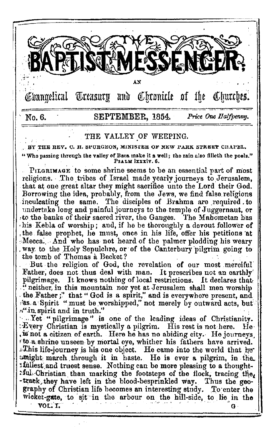

# THE VALLEY OF WEEPING.

BY THE REV. C. H. SPURGEON, MINISTER OF NEW PARK STREET CHAPEL. "Who passing through the valley of Baca make it a well; the rain also filleth the pools." PSALM IXXXIV. 6.

PILGRIMAGE to some shrine seems to be an essential part of most religions. The tribes of Israel made yearly journeys to Jerusalem, that at one great altar they might sacrifice unto the Lord their God. Borrowing the idea, probably, from the Jews, we find false religions inculcating the same. The disciples of Brahma are required to undertake long and painful journeys to the temple of Juggernaut, or to the banks of their sacred river, the Ganges. The Mahometan has his Kebla of worship; and, if he be thoroughly a devout follower of the false prophet, he must, once in his life, offer his petitions at Mecca. And who has not heard of the palmer plodding his weary way to the Holy Sepulchre, or of the Canterbury pilgrim going to the tomb of Thomas à Becket?

But the religion of God, the revelation of our most merciful Father, does not thus deal with man. It prescribes not an earthly pilgrimage. It knows nothing of local restrictions. It declares that "neither, in this mountain nor yet at Jerusalem shall men worship the Father;" that "God is a spirit," and is everywhere present, and as a Spirit " must be worshipped," not merely by outward acts, but  $\pi$ " in spirit and in truth."

Wet "pilgrimage" is one of the leading ideas of Christianity.  $\pm$  Every Christian is mystically a pilgrim. His rest is not here. H٥٠ is not a citizen of earth. Here he has no abiding city. He journeys to a shrine unseen by mortal eye, whither his fathers have arrived. .This life-journey is his one object. He came into the world that he umight march through it in haste. He is ever a pilgrim, in the ifuliest and truest sense. Nothing can be more pleasing to a thought-: ful. Christian than marking the footsteps of the flock, tracing the, -track they have left in the blood-besprinkled way. Thus the geography of Christian life becomes an interesting study. To enter the wicket-gate, to sit in the arbour on the hill-side, to lie in the VOL. T.  $\mathbf{G}$ .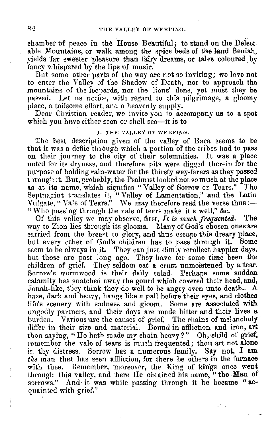chamber of peace in the House Beautiful; to stand on the Delectable Mountains, or walk among the spice beds of the land Beulah, yields far sweeter pleasure than fairy dreams, or tales coloured by fancy whispered by the lips of music.

But some other parts of the way are not so inviting; we love not to enter the Valley of the Shadow of Death, nor to approach the mountains of the leopards, nor the lions' dens, yet must they be passed. Let us notice, with regard to this pilgrimage, a· gloomy place, a toilsome effort, and a heavenly supply.

Dear Christian reader, we invite you to accompany us to a spot which you have either seen or shall see-it is to

#### I. THE VALLEY OF WEEPING,

The best description given of the valley of Baca seems to be that it was a defile through which a portion of the tribes had to pass on their journey to the city of their solemnities. It was a place noted for its dryness, and therefore pits were cligged therein for the purpose of holding rain-water for the thirsty way-farers as they passed through it. But, probably, the Psalmist looked not so much at the place ns at its name, which signifies "Valley of Sorrow or Tears." The Septuagint translates it, "Valley of Lamentation," and the Latin<br>Vulgate, "Vale of Tears." We may therefore read the verse thus:— " Who passing through the vale of tears make it a well," &c.

Of this valley we may observe, first, *It is much frequented.* The way to Zion lies through its glooms. Many of God's chosen ones are carried from the breast to glory, and thus escape this dreary place, but every other of God's children has to pass through it. Some seem to be always in it. They can just dimly recollect happier days, but those are past long ago. They have for some time been the children of grief. They seldom eat a crust unmoistened by a tear. Sorrow's wormwood is their daily salad. Perhaps some sudden calamity has snatched away the gourd which covered their head, and, Jonah-like, they think they do well to be angry even unto death.  $A$ haze, dark and heavy, hangs like a pall before their eyes, and clothes life's scenery with sadness and gloom. Some are associated with ungodly partners, and their days are made bitter and their lives a burden. Various are the causes of grief. The chains of melancholy differ in their size and material. Bound in affliction and iron, art thou saying, "He hath made my chain heavy?" Oh, child of grief, remember the vale of tears is much frequented; thou art not alone in thy distress. Sorrow has a numerous family. Say not,  $I$  am the man that has seen affliction, for there be others in the furnace with thee. Remember, moreover, the King of kings once went through this valley, and here He obtained his name, "the Man of sorrows." And it was while passing through it he became "acquainted with grief."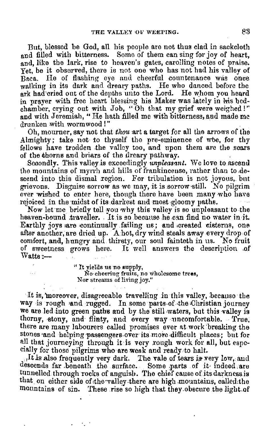But, blessed be God, all his people are not thus clad in sackcloth and filled with bitterness. Some of them can sing for joy of heart, and, like the lark, rise to heaven's gates, carolling notes of praise. Yet, be it observed, there is not one who has not had his valley of Baca. He of flashing eye and cheerful countenance was once walking in its dark and dreary paths. He who danced before the ark had cried out of the depths unito the Lord. He whom you heard in prayer with free heart blessing his Maker was lately in his bedchamber, crying out with Job, " Oh that my grief were weighed ! " **and** with Jeremiah, " He hath filled me with bitterness, and made me drunken with wormwood!"

Oh, mourner, say not that *thou* art a target for all the arrows of the Almighty; take not *to* thyself the pre-eminence of wte, for thy fellows have trodden the valley too, and upon them are the soars of tbe thorns and briars of the dreary pathway.

Secondly. This valley is exceedingly *unpleasant*. We love to ascend the mountains of myrrh and hills of frankincense, rather than to descend into this dismal region. For tribulation is not joyous, but grievous. Disguise sorrow as we may, it is sorrow •still. No pilgrim ever wished to enter here, though there have been many who have rejoiced in the midst of its darkest and most gloomy paths.

Now let·me briefly tell you why this valley is so unpleasant to the heaven-bound traveller. It is so because he can find no water in it. Earthly joys are continually failing us; and created cisterns, one after another, are dried up. A hot, dry wind steals away every drop of comfort, and, hungry and thirsty, our soul fainteth in us. No fruit of sweetness grows here. It well answers the description of Watts:---

> " It yielils us no 8Upply, No·cheering fruits, no ,vholesome **trees,**  Nor streams of living joy."

It is, moreover, disagreeable travelling in this valley, because the way is rough and rugged. In some parts of the Christian journey we are led into green paths and by the still waters, but this valley is thorny, stony, and flinty, and every way uncomfortable. True, there are many labourers called promises ever at work :breaking the stones and helping passengers over its more difficult places; but for all that journeying through it is very rough work for all, but especially for those pilgrims who are weak and ready to halt.

 $1$ <sup>It is also frequently very dark. The vale of tears is very low, and</sup> descends far .beneath the surface. Some parts of it indeed are tunnelled through rocks of anguish. The chief cause of its darkness is that on either side of the valley there are high mountains, called the mountains of sin. These rise so high that they obscure the light of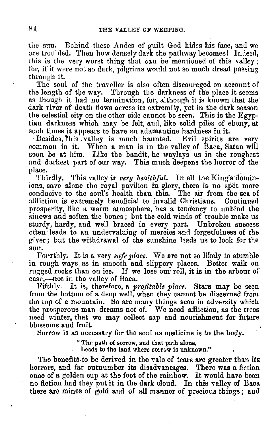the sun. Behind these Andes of guilt God hides his face, and we are troubled. Then how densely dark the pathway becomes! Indeed, this is the very worst thing that can be mentioned of this valley: for, if it were not so dark, pilgrims would not so much dread passing through it.

The soul of the traveller is also often discouraged on account of the length of the way. Through the darkness of the place it seems as though it had no termination, for, although it is known that the dark river of death flows across its extremity, yet in the dark season the celestial city on the other side cannot be seen. This is the Egyptian darkness which may be felt, and, like solid piles of ebony, at such times it appears to have an adamantine hardness in it.<br>Besides, this . valley is much haunted. Evil spirits are very

common in it. When a man is in the valley of Baca, Satan will soon be at him. Like the bandit, he waylays us in the roughest and darkest part of our way. This much deepens the horror of the 1,lace. . Thirdly. This valley *is very healthful.* In all the King'sciomin-

ions, save alone the royal pavilion in glory, there is no spot more conducive to the soul's health than this. The air from the sea of affliction is extremely beneficial to invalid Christians. Continued prosperity, like a warm atmosphere, has a tendency to unbind the sinews and soften the bones; but the cold winds of trouble make us sturdy, hardy, and well braced in every part. Unbroken success often leads to an undervaluing of mercies and forgetfulness of the giver; but the withdrawal of the sunshine leads us to look for the sun.

Fourthly. It is a very *safe place.* We are not so likely to stumble in rough ways, as in smooth and slippery places. Better walk on rugged rocks than on ice. If we lose our roll, it is in the arbour of ease,-not in the valley of Baca.

l<'ifthly. It is, therefore, a *profitable place.* Stars may be seen from the bottom of a deep well, when they cannot be discerned from the top of a mountain. So are many things seen in adversity which the prosperous man dreams not of. We need affliction, as the trees need winter, that we may collect sap and nourishment for future blossoms and fruit.

Sorrow is as necessary for the soul as medicine is to the body.

"The path of sorrow, and that path alone,

Leads to the land where sorrow is unknown."

The benefits to be derived in the vale of tears are greater than its horrors, and far outnumber its disadvantages. There was a fiction once of a golden cup at the foot of the rainbow. It would have been no fiction had they put it in the dark cloud. In this valley of Baca there aro mines of gold and of all manner of precious things; and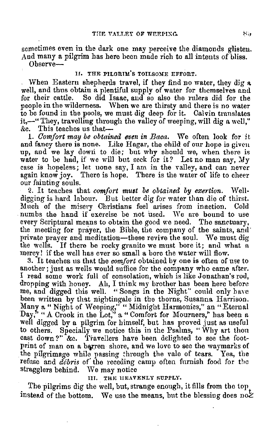sometimes even in the dark one may perceive the diamonds glisten. And many a pilgrim has here been made rich to all intents of bliss.  $O<sub>h</sub>$ serve $-$ 

### II. THE PILGRIM'S TOILSOME EFFORT.

, When Eastern shepherds travel, if they find no water, they dig a well, and thus obtain a plentiful supply of water for themselves aml for their cattle. So did Isaac, and so also the rulers did for the people in the wilderness. When we are thirsty and there is no water to be found in the pools, we must dig deep for it. Calvin translates it,-" They, travelling through the valley of weeping, will dig a well,"<br>&c. This teaches us that-This teaches us that- $-$ 

1. *Oomjort may be obtained even in Baca.* \Ve often look for it, and fancy there is none. Like Hagar, the child of our hope is given up, and we lay down to die; but why should we, when there is water to be had, if we will but seek for it? Let no man say,  $My$ case is hopeless; let none say, I am in the valley, and can never again know joy. There is hope. There is the water of life to cheer our fainting souls.

2. It teaches that *comfort must be obtained by exertion*. Welldigging is hard labour. But better dig for water than die of thirst. Much of the misery Christians feel arises from inaction. Cold numbs the hand if exercise be not used. We are bound to use every Scriptural means to obtain the good we need. The sanctuary, the meeting for prayer, the Bible, the company of the saints, and private prayer and meditation-these revive the soul. We must dig the wells. If there be rocky granite we must bore it; and what n mercy! if the well has ever so small a bore the water will flow.

3. It teaches us that the *comfort* obtained by one is often of use to another; just as wells would suffice for the company who came after. I read some work full of consolation, which is like Jonathan's rod, dropping with honey. Ah, I think my brother has been here before me, and digged this well. "Songs in the Night" could only have been written by that nightingale in the thorns, Susanna Harrison. \_Manr, a" Night of Weeping," "Midnight Harmonies," an" Eternal Day," "A Crook in the Lot," a "Comfort for Mourners," has been a well digged by a pilgrim for himself, but has proved just as useful to others. Specially we notice this in the Psalms, " Why art thou cast down?"  $\&c.$  Travellers have been delighted to see the footprint of man on a barren shore, and we love to see the waymarks of the pilgrimage while passing through the vale of tears. Yea, the refuse and *debris* of the receding camp often furnish food for the stragglers behind. We may notice THEAVENLY SUPPLY.

The pilgrims dig the well, but, strange enough, it fills from the top instead of the bottom. We use the means, but the blessing does  $\mathrm{no}\mathcal{L}$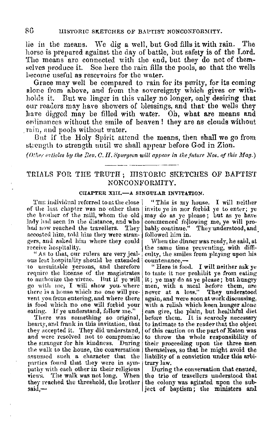lie in the means. We dig a well, but God fills it with rain. The horse is prepared against the day of battle, but safety is of the Lord. The means are connected with the end, but they do not of themselves produce it. See here the rain fills the pools, so that the wells become useful as reservoirs for the water.

Grace may well be compared to rain for its purity, for its coming alone from above, and from the sovereignty which gives or withholds it. But we linger in this valley no longer, only desiring that our readers may have showers of blessings, and that the wells they have digged may be filled with water. Oh, what are means and ordinances without the smile of heaven! they are as clouds without rain, and pools without water.

But if the Holy Spirit attend the means, then shall we go from strength to strength until we shall appear before God in Zion.

(Other criticles by the Rev. C. II. Spurgeon will appear in the future Nos. of this Mag.)

# TRIALS FOR THE TRUTH; HISTORIC SKETCHES OF BAPTIST NONCONFORMITY.

#### CHAPTER XIII.-A SINGULAR INVITATION.

THE individual referred to at the close of the last chapter was no other than the brother of the mill, whom the old lady had seen in the distance, and who had now reached the travellers. They accosted him, told him they were strangers, and asked him where they could receive hospitality.

"As to that, our rulers are very jealous lest hospitality should be extended to unsuitable persons, and therefore require the license of the magistrates to authorize the virtue. But if ye will go with me, I will show you where there is a house which no one will prevent you from entering, and where there is food which no one will forbid your eating. If ye understand, follow me."

There was something so original, hearty, and frank in this invitation, that they accepted it. They did understand, and were resolved not to compromise the stranger for his kindness. During the walk to the house, the conversation assumed such a character that the parties found that they were in sympathy with each other in their religious views. The walk was not long. When the trio of travellers understood that they reached the threshold, the brother the colony was agitated upon the sub $said$ —

"This is my house. I will neither invite ye in nor forbid ye to enter; ye may do as ye please; but as ye have commenced following me, ye will probably continue." They understood, and followed him in.

When the dinner was ready, he said, at the same time preventing, with difficulty, the smiles from playing upon his countenance.-

"Here is food. I will neither ask ye to taste it nor prohibit ye from eating it; ye may do as ye please; but hungry men, with a meal before them, are<br>never at a loss." They understood again, and were soon at work discussing. with a relish which keen hunger alone can give, the plain, but healthful diet before them. It is searcely necessary to intimate to the reader that the object of this caution on the part of Eaton was to throw the whole responsibility of their proceeding upon the three men themselves, so that he might avoid the liability of a conviction under this arbitrary law.

During the conversation that ensued, ject of baptism; the ministers and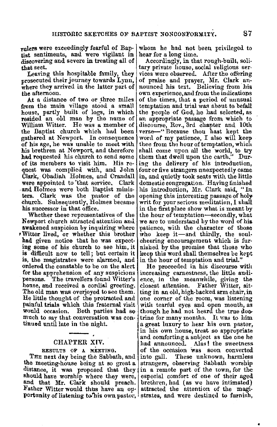rulers were exceedingly fearful of Baptist sentiments, and were vigilant in discovering and severe in treating all of that sect.

Leaving this hospitable family, they prosecuted their journey towards Lynn, where they arrived in the latter part of the afternoon.

At a distance of two or ihree miles from the main village stood a small house, partly built of logs, in which resided an old man by the name of William Witter. He was a member of the Baptist church which had been gathered at Newport. In consequence of his age, he was unable to meet with his brethren at Newport, and therefore had requested his church to send some of its members to visit him, His request was complied with, and John Clark, Obadiah Holmes, and Crandall **were** appointell to ''that service, Clark . and Holmes were both Baptist miuisters. Clark was the pastor of the church. Subsequently, Holmes became his successor in that office.

Whether these representatives of the Newport church attracted attention and awakened suspicion by inquiring where ,Witter lived, or whether this brother had given notice that he was expect• ing some of his church to see him, it is difficult now to tell; but certain it is, the magistrates were alarmed, and ordered the constable to be on the alert for the apprehension of any suspicious persons. The travellers found Witter's house, and received a cordial greeting. The old man was overjoyed to see them. He little thougllt of the protracted and painful trials which this fraternal visit would occasion. Both parties had so much to say that conversation was con-<br>tinued until late in the night.

## CHAPTER XIV.

#### RESULTS OF A MEETING.

THE next day being the Sabbath, and the meeting-house being at so great a distance, it was proposed that they should have worship where they were, and that Mr. Clark should preach. Father Witter would thus have an opportunity of listening to his own pastor, strates, and were destined to furnish,

whom he had not been privileged to hear for a long time.

Accordingly, in that rough-built, solitary private house, social religious ser• vices were observed. After the offering<br>of praise and prayer, Mr. Clark announced his text. Believing from his own experience, and from the indications of the times, that a period of unusual temptation and trial was about to befall the people of God, he had selected, as an appropriate passage from which to discourse, Rev., 3rd chapter and 10th verse-" Because thou hast kept the wonl of my patience, I also will keep thee from the hour of temptation, which shall come upon all the world, to try them that dwell upon the earth." During the delivery of his introduction, four or five strangers unexpectedly came in, and quietly took seats with the little domestic congregation. Having finished his introduction, Mr. Clark said, "In opening this interesting passage of holy writ for your serious meditation, I shall in the first place show what is meant by the hour of temptation-secondly, what we are to understand by the word of **his**  patience, with the character of those who keep it-and thirdly, the soulcheering encouragement which is furnished by the promise that those who keep this word shall themselves be kept in the hour of temptation and trial."

He proceeded in his discourse with increasing earnestness, the little audience, in the meanwhile, giving the<br>closest attention. Father Witter, sit-Father Witter, sitting in an old, hjgh-backed arm chair, in one corner of the room, was listening with tearful eyes and open mouth, as though he had not heard the true doctrine for many months. It was to him a great luxury to hear his own pastor, in his own house, treat so appropriate and comforting a subject as the one he had announced. Alas ! the sweetness of the occasion was soon converted into gall. These unknown, harmless strangers, observing Sabbath worship in a remote part of the town, for the especial comfort of one of their aged brethren, lmd (as we have intimated) attracted the attention of the magi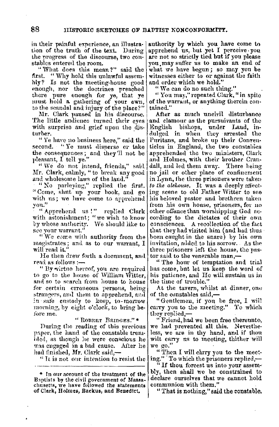in their painful experience, an illustration of the truth of the text. During<br>the progress of the discourse, two con-

stables entered the room.<br>"What does this mean?" said the<br>first. "Why hold this meanful assem-" Why hold this unlawful assemhly? Is not the meeting-house good enough, nor the doctrines preached there pure enough for ye, that ye must hold a. gathering of your own, to the seandal and injury of the place?"

Mr. Clark paused in his discourse. The little audience turned their eyes with surprise and grief upon the djsturber.

"Ye have no business here," said the second. "Ye must disperse or take the consequences; and they'll not be pleasant, I tell ye."

"We do not intend, friends," said Mr. Clark, calmly, " to break any good and wholesome laws of the land."

"No parleying," replied the first. " Come, shut up your book, and go with us; we have come to apprehend **vou"**  0

<sup>1</sup> "Apprehend us!" replied Clark with astonishment; "we wish to know by whose authority. We should like to see your warrant.

"We come with authority from the  $m$ agistrates; and as to our warrant, I will read it."

He then drew forth a document, and read as follows :—

" By virtue hereof, you are required to go to the house of William Witter, and so to search from house to house for certain erroneous persons, being strangers, and them to apprehend, and in safe custody to keep, to-morrow morning, by eight o'clock, to bring before me.

**I( RonEnT Iln1nGEs/ <sup>1</sup>**\*

During the reading of this precious paper, the hand of the constable tremhled, as though he were conscious he was engaged in a bad cause. After he had finished, Mr. Clark said,-

"It is not our intention to resist the

authority by which you have come to apprehend us, but yet I perceive you are not so strictly tied but if you please you.may suffer us to make an end of what we have begun; so may you be witnesses either to or against the faith and order which we hold."

"We can do no such thing."

"You may," repeated Clark," in spite of the warrant, or anything therein con-<br>tained."

After as much uncivil disturbance and clamour as the pursuivants of the<br>English bishops, under Laud, inbishops, under Laud, indulged in when they arrested the Puritans, and broke up their Conventicles in England, the two constables apprehended the two ministers, Clark and Holmes, with their brother Cran-<br>dall, and led them away. There being no jail or other place of confinement in Lynn, the three prisoners were taken *lo the alehouse.* It was a deeply affecting scene to old Father Witter to see his beloved pastor and brethren taken from his own house, prisoners, for no other offence than worshipping God nc• cording to the dictates of their own consciences. A recollection of the fact that they had visited him (and had thus been caught in the snare) by his own invitation, added to his sorrow. As the three prisoners left the house, the pnstor said to the venerable man,-

" The hour of temptation and trial has come, but let us keep the word of his patience, and He will sustain us in the time of trouble."

At the tavern, whilst at dinner, one of the constables said,-

" Gentlemen, if yon be free, I will carry you to the meeting." To which they replied. $-$ 

" Friend, had we been free thereunto, we had prevented all this. Nevertheless, we are in thy hand, and if thou wilt carry us to meeting, thither will we go."

"Then I will carry you to the meeting." To which the prisoners replied, $-$ 

" If thou forcest us into your assembly, then shall we be constrained to declare ourselves that we cannot hold communion with them."

"That is nothing," said the eonstable,

<sup>\*</sup> Tn our account of tlie treatment of the B,ptists by the civil government of **Massa**chusetts, we have followed the statements of Clark, Holmes, Backus, and Benedict.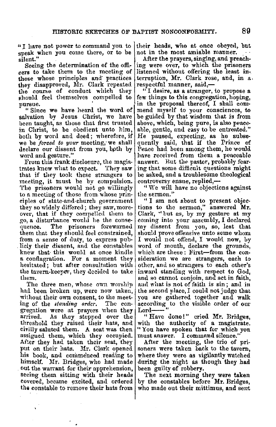"I have not power to command you to speak when you come there, or to be

silent."<br>Seeing the determination of the officers to take them to the meeting of those whose principles and: practices they disapproved, Mr. Clark repeated the course of conduct which they should feel themselves compelled to pursue.

" Since we have heard the word of salvation by Jesus Christ, we have been taught, as those that first trusted in Christ, to be obedient unto him, both by word and deed; wherefore, if we be *forced to your* meeting, we shall declare our dissent from you, both by word and gesture."

From this frank disclosure, the magis-<br>ates knew what to expect. They saw trates knew what to expect. that if they took these strangers to meeting, it must be by compulsion. The prisoners would not go willingly to a meeting of those from whose principles of state-and-church government they so widely differed; they saw, more- over, that it' they compelled them to go, a disturbance would be the consequence. The prisoners forewarned them that they shouhl feel constrained, from a sense of duty, to express publicly their dissent, and the constables knew that this would at once kindle a conflagration. For a moment they hesitated; but after consultation with the tavern-keeper, they decided to take them.

The three men, whose own worship had been broken up, were now taken, without their own consent, to the meeting of the *standing order.* The congregation were at prayers when they arrived. As they stepped over the threshold they raised their hats, and civilly saluted them. A seat was then assigned them, which they cccupied. After they had taken their seat, they put on their hats. Mr. Clark opened his book, and commenced reading to himself. Mr. Bridges, who had made out the warrant for their apprehension, seeing them sitting with their heads covered, became excited, and ordered the constable to remove their hats from

their heads, who at once obeyed, but not in the most amiable manner.

After the prayers, singing, and preach• ing were over, to which the prisoners listened without offering the least interruption, Mr. Clark rose, and, in a,. respectful manner, said,— $\cdot$  I desire, as a stranger, to propose a

few things to this congregation, hoping. in the proposal thereof, I shall commend myself to your consciences, to be guided by that wisdom that is from above, which, being pure, is also peaceable, gentle, and easy to be entreated." He paused, expecting, as he subsequently said, that if the Prince of Peace had been among them, he would have received from them a peaceable answer. Rut the pastor, probably fearing that some difficult questions might be asked, antl a troublesome theological controversy ensue, replied,-

" We will have no objections against the sermon."

" I am not about to present objec-tions to the sermon," answered **Mr.**  Clark, '' but as, by my gesture at my coming into your assembly, I declared my dissent from you, so, lest that should prove offensive unto same whom I would not offend, I would now, by word of mouth, declare the grounds, which are these: First-from the con-<br>sideration we are strangers, each to other, and so strangers to each other's inward standing with respect to God. and so cannot conjoin, and act in faith, and what is not of faith is sin; and in the second place, I could not judge that you are gathered together and walk according to the visible order of our<br>Lord----"

" Have done!" cried Mr. Bridges, with the authority of a magistrate. "You have spoken that for which you must answer. I command silence."

After the meeting, the trio of prisoners were taken back to the tavern, where they were as vigilantly watched during the night as though they had been guilty of robbery.

The next morning they were taken by the constables before Mr. Bridges, who made out their mittimus, and sent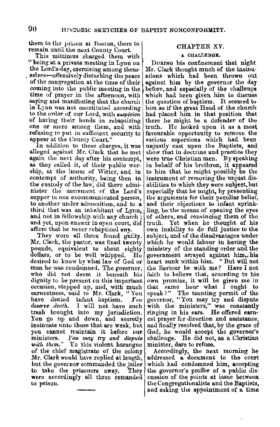them to the prison at Boston, there to  $\vert$  CHAPTER XV. remain until the next County Court.

This mittimus charged them with  $\vert$  A CHALLENGE.<br>being at a private meeting in Lynn on DURING his confinement that night "being at a private meeting in Lynn on | DuRING his confinement that night the Lord's-day, exercising among them. | Mr. Clark thought much of the insinuselves--offensively disturbing the peace ations which had been thrown out of the congregation at the time of their against him by the governor the day of the congregation at the time of their against him by the governor the day coming into the public meeting in the before, and especially of the challenge coming into the public meeting in the before, and especially of the challenge time of prayer in the afternoon, with which had been given him to discuss saying and manifesting that the church the question of baptism. It seemed to in Lynn was not constituted according him as if the great Head of the church in Lynn was not constituted according<br>to the order of our Lord, with suspicion to the order of our Lord, with *ruspicion* | had placed him in that position that of having their hands in rebaptizing there he might be a defender of the one or more among them, and with truth. He looked upon it as a most refusing to put in sufficient security to *favourable opportunity* to remove the refusing to put in sufficient security to appear at the County Court."

In addition to these charges, it was alleged against Mr. Clark that he met alleged against Mr. Clark that be met show that in doctrine and practice they again the next day after his contempt, were true Christian men. By speaking as they called it, of their public wore in behalf of his brethren, it appeared ship, at the house of Witter, and in the him that he might possibly be the contempt of authority, being then in the custody of the law, did there admi- abilities to which they were subject, but nister the sacrament of the Lord's especially that he might, by presenting supper to one excommunicated person, the arguments for their peculiar belief, to another under admonition, and to a and their objections to infant sprinkto another under admonition, and to a third that was an inhabitant of Lynn, and not in fellowship with any church; of others, and convincing them of the and yet, upon answer in open court, did truth. Yet when he thought of his affirm that he never rebaptized any. own inability to do full justice to the

They were all three found guilty.<br>Mr. Clark, the pastor, was fined twenty pounds, equivalent to about eighty ministry of the standing order and the dollars, or to be well whipped. He government arrayed against him, his dollars, or to be well whipped. He government arrayed against him, his desired to know by what law of God or heart sunk within him. "But will not desired to know by what law of God or heart sunk within him. "But will not man he was condemned. The governor, the Saviour be with me? Have I not who did not deem it beneath his faith to believe that, according to his dignity to be present on this important lown promise, it will be given me in occasion, stepped up, and, with much that same hour what I ought to earnestness, said to Mr. Clark, "You speak?" The taunting permit of the have denied infant baptism.  $You$  governor, "You may try and dispute deserve death. I will not have such trash brought into my jurisdiction. You go up and down, and secretly est prayer for direction and assistance, insinuate unto those that are weak, but and finally resolved that, by the grace of you cannot maintain it before our  $\text{God}$ , he would accept the governor's you cannot maintain it before our God, he would accept the governor's ministers. You may try and dispute challenge. He did not as a Christian ministers. *You may try and dispute* challenge. He did not, as a Christian with them." To this violent harangue minister, dare to refuse. of the chief magistrate of the colony Accordingly, the next morning he  $Mr$ . Clark would have replied at length, addressed a document to the court but the governor commanded the jailer which had condemned him, accepting to take the prisoners away. They the governor's proffer of a public disto take the prisoners away. They the governor's proffer of a public dis-<br>were accordingly all three remanded cussion of the points at issue between to prison. Une Congregationalists and the Baptists,

which had been given him to discuss<br>the question of baptism. It seemed to various aspersions which had been<br>unjustly cast upon the Baptists, and to him, that he might possibly be the instrument of removing the unjust disespecially that he might, by presenting<br>the arguments for their peculiar belief, ling, be the means of opening the eyes own inability to do full justice to the subject, and of the disadvantages under which he would labour in having the dignity to be present on this important own promise, it will be given me in occasion, stepped up, and, with much that same hour what I ought to have denied infant baptism. *You* governor, "You may try and dispute *deserve death*. I will not have such with the ministers," was constantly

> addressed a document to the court and asking the appointment of a time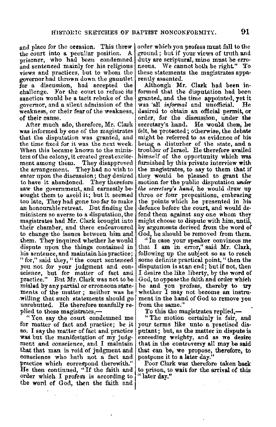and place for the oeeasion. This threw the court into a peculiar position. A prisoner, who had been condemned and sentenced mainly for his religious views and practices, but to whom the governor had thrown down the gauntlet for a discussion, had accepted the For the court to refuse its sanction would be a tacit rebuke of the governor, and a silent admission of the weakness, or their fear of the weakness,

of their cause. After much ado, therefore, Mr. Clark **was** informed by one of the magistrates that the disputation was granted, and the time fixed for it was the next week. When this became known to the ministers of the colony, it created great excitement among them. They disapproved the arrangement. They had no wish to enter upon the discussion; they desired<br>to have it abandoned. They therefore saw the government, and earnestly be• sought them to avoid it; but it seemed too late, They had gone too far to make an honourable retreat. But finding the ministers so averse to a disputation, the magistrates had Mr. Clark brought into their chamber, and there endeavoured to change·the issues between him and them. They inquired whether he would dispute upon the things contained in his sentence, and maintain his practice; " for," said they, " the court sentenced you not for your judgment and con-<br>science, but for matter of fact and<br>practice." But Mr. Clark was not to be mislad by any partial or erroneous statements of the matter ; neither was he .willing that such statements should go unrebutted. He therefore manfully re-

plied to these magistrates,—<br>"You say the court condemned me for matter of fact and practice; be it so. I say the matter of fact and practice was but the manifestation of my judgment and conscience, and I maintain that that man is void of jndgment and conscience who hath not a fact and practice which correspond therewith." He then continued, "If the faith and order which I profess is according to the word of God, then the faith and

order which you profess must fall to the ground ; but if your views of truth and duty are scriptural, mine must be erroneous. We cannot both be right." To these statements the magistrates apparently assented.

Although Mr. Cluk had been informed that the disputation had been granted, and the time appointed, yet it<br>was 'all *informal* and unofficial. He was all *informal* and unofficial. desired to obtain an official permit, or order, for the discussion, under the secretary's hand. He would then, he felt, be protected; otherwise, the debate might be referred to as evidence of his<br>being a disturber of the state, and a troubler of Israel. He therefore availed himself of the opportunity which was fnrnishetl by this private interview **with**  the magistrates, to say to them that if they would be pleased to grant the motion for the public disputation *under the secretary's hand*, he would draw up three or four propositions, embracing the points which he presented in his defence before the court, and would defend them against any one whom they might choose to dispute with him, until, by arguments derived from the word of God, he should be removed from them.<br>"In case your speaker convinces me

that I am in error," said Mr. Clark, following up the subject so as to reach some definite practical point," then the disputation is at an end; but if not, then I desire the like liberty, by the word of God, to oppose the faith and order which he and you profess, thereby to try whether I may not become an instrument in the hand of God to remove you from the same."

To this the magistrates replied,-

" The motion certainly is fair, and your terms like unto n practised disputant; but, as the matter in dispute is exceeding weighty, and as we desire that in the controversy all may be said that can be, we propose, therefore, to postpone it to a later day."

Poor Clark was therefore taken back to prison, to wait for the arrival of this "later day."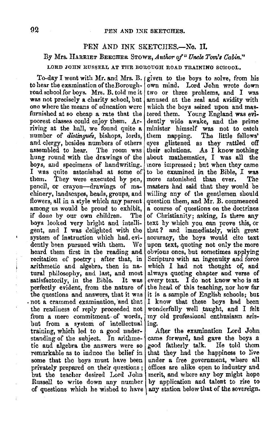# PEN AND INK SKETCHES.-No. II.

# By Mrs. HARRIET BEECHER STOWE, *Author of " Uncle Tom's Cabin."*

# LORD JOHN RUSSELL AT TIIE BOROUGH ROAD TRAINING SCHOOL.

To-day I went with Mr. and Mrs. Il. given to the boys **to** solve, from his to hear the examination of the Borough- $\vert$ road school for boys. Mrs. B. told me it was not precisely **a** charity school, but one where the means of education were furnished at so cheap a rate that the poorest classes could enjoy them. Arriving at the hall, we found quite a number of *distingues,* bishops, lords, and clergy, besides numbers of others<br>assembled to hear. The room was assembled to hear. hung round with the drawings of the boys, and specimens of handwriting. I was quite astonished at some of them. They were executed by pen, pencil, or crayon-drawings of machinery, landscapes, heads, groups, and flowers, all in a style which any parent among us would be proud to exhibit,<br>if done by our own children. The if done by our own children. boys looked very bright and intelligent, and. I was delighted with the system of instruction which had. evidently been pursued with them. We heard them first in the reading and recitation of poetry ; after that, in arithmetic and algebra, then in natural philosophy, and last, and most satisfactorily, in the Bible. It was perfectly evident, from the nature of the questions and answers, that it was . not a crammed examination, and that the readiness of reply proceeded not from a mere commitment- of words, but from a system of intellectual training, which led to a good understanding of the subject. In arithmetic and algebra. the answers were so remarkable as to induce the belief in some that the boys must have been privately prepared on their questions ; but the teacher desired Lord Jolm Russell to write down any number of questions which he wished to have

own mind. Lord John wrote down two or three problems, and I was amused at the zeal and **avidity** with which the boys seized upon and **mas**tered them. Young England was evidently wide awake, and the prime minister himself was not to catch them napping. The little fellows' The little fellows' eyes glistened as they rattled off their solutions. As I know nothing about mathematics, I was all the more impressed; but when they came to be examined in the Bible, I **was**  more astonished than ever. masters had said that they would be willing any of the gentlemen should question them, and Mr. B. commenced a course of questions on the doctrines of Christianity; asking, Is there any text by which you can prove this, or that ? and immediately, with great accuracy, the boys would cite text upon text, quoting not only the more obvious ones, but sometimes applying Scripture with an ingenuity and force which I had not thought of, and always quoting chapter and verse of every text. I do not know who is at the head of this teaching, nor how far it is a sample of English schools; but I know that these boys had been wonderfally well taught, and I felt my old professional enthusiasm arising.

After the examination Lord John came forward, and gave the boys a good fatherly talk. He told them that they had the happiness to live under a. free government, where all offices are alike open to industry and merit, and where any boy might hope by application and talent to rise to any station below that of the sovereign.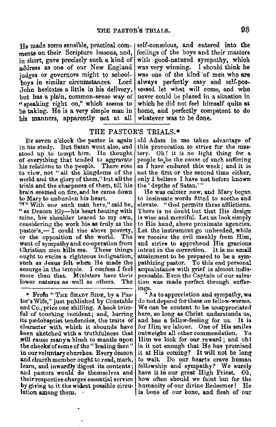$H_0$  made some sensible, practical com- self-conscious, and entered into the ments on their Scripture lessons, and, feelings of the boys and their masters ments on their Scripture lessons, and, | feelings of the boys and their masters in short, gave precisely such a kind of | with good-natured sympathy, which in short, gave precisely such a kind of address as one of our New England was very winning. I should think he judges or governors might to school- was one of the kind of men who are hove in similar circumstances. Lord always perfectly easy and self-pos-John hesitates a little in his delivery, sessed let what will come, and who but has a plain, common-sense way of never could be placed in a situation in  $u$  and  $u$  and  $v$  which is extended. "speaking right on," which seems to which he did not feel himself quite **at**  be taking. He is a very simple man in his manners, apparently not at all whatever was to be done.

Lord always perfectly easy and self-pos-

## THE PASTOR'S TRIALS.\*

By seven  $o$ 'clock the pastor is again | in his study. But Satan went also, and stood up to tempt him. He thought of everything that tended to aggravate<br>his relations to the people. There rose to view, not "all the kingdoms of the world and the glory of them," but all the trials and the sharpness of them, till his brain seemed on fire, and he came down to Mary to unburden his heart.<br>"\*" With one such man here," said he,

" as Deacon Ely-his heart beating with mine, his shoulder braced to my own, considering the work l1is **as** truly as the  $pastor's, - I could rise above powerty,$ or the opposition of the world. The want of sympathy and co-operation from Christian men kills me. 'fhese things ought to excite a righteous indignation, such as Jesus felt when He made the scourge in the temple. I confess I feel more than that. Ministers have their lower natures as well as others. The

\* Frofn "THE SHADY SIDE, by a Pas· tor's Wife," just published by Constable and Co., price one shilling. A book brim• ful of touching incident; and, barring its predobaptist tendencies, the traits of character with which it abounds have been sketched with a truthfulness that will cause many a blush to mantle upon the cheeks of some of the " leading men" in our voluntary churches. Every deacon and church member ought to read, mark, learn, and inwardly digest its contents; and pastors would do themselves and their respective charges essential senice by giving to it the widest possible circu• lation among them,

old Adam in me takes advantage of this provocation to strive for the mastery. Oh! it is no light thing for a people toJie the cause of such suffering as I have endured this week; and it is not the first or the second time either, only I belieye I have not before known the ' depths of Satan.' "

He was calmer now, and Mary began to insinuate words fitted to soothe and elevate. "God permits these afflictions. There is no doubt but that His design is wise and merciful. Let us look simply to His hand, above proximate agencies. Let the instrument go unheeded, while we receive the evil meekly from Him, and strive to apprehend His gracious intent in the correction. lt is no small attainment to·be prepared to be a sym• pathizing pastor. To this end personal acquaintance with grief is almost indispensable. Even the Captain of our salvation was made perfect through suffer-

ings.<br>"As to appreciation and sympathy, we do not depend for these on fellow-worms. We can be content to be unappreciated here, so long as Christ understands us, and has a fellow-feeling for us. It is for Him we labour. One of His smiles outweighs all other commendation. To Him we look for our reward ; and oh I is it not enough that He has promised it at His coming? It will not be long to wait. Do our hearts crave human fellowship and sympathy? We surely have it in our great High Priest. Oh, how often should we faint but for the humanity of our divine Redeemer! He is bone of our bone, and flesh of our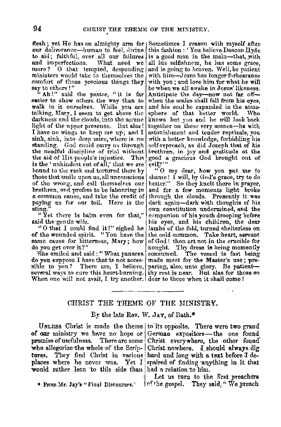flesh; yet He has an almighty arm for Sometimes I reason with myself after our deliverance-human to feel, divine to aid; faithful, over all our failures and imperfections. What need we more? O that tempted, desponding ministers would take to themselves the comfort of those precious things they say to others!"

"Ah!" said the pastor, "it is far easier to show others the way than to walk in it ourselves. While you are talking, Mary, I seem to get above the darkness and the clouds, into the serene light of the upper presence. But alas! I have no wings to keep me up; and I sink, sink, into deep mire, where is no standing. God could carry us through the needful discipline of trial without the aid of His people's injustice. This is the 'unkindest cut of all,' that we are bound to the rack and tortured there by those that smile upon us, all unconscious of the wrong and call themselves our brethren, and profess to be labouring in a common cause, and take the credit of paying us for our toil. Here is the sting.

"Yet there is balm even for that," said the gentle wife.

"O that I could find it!" sighed he of the wounded spirit. "You have the same cause for bitterness, Mary; how do you get over it?"

She smiled and said: "What panacea do you suppose I have that is not accessible to you? There are, I believe, paring, also, unto glory. Be patientseveral ways to cure this heart-burning. thy rest is near. But also for those so When one will not avail, I try another. dear to thece when it shall come!

this fashion: 'You believe Deacon Hyde is a good man in the main-that, with all his selfishness, he has some grace, and is going to heaven. Well, be patient with him-Jesus has longer forbearance with you; and love him for what he will be when we all awake in Jesus' likeness. Anticipate the day--now not far offwhen the scales shall fall from his eves. and his soul be expanded in the atmosphere of that better world. **Who** knows but you and he will look back together on these very scenes-he with astonishment and tender reprisals, you with a better knowledge, forbidding his self-reproach, as did Joseph that of his brethren, in joy and gratitude at the good a gracious God brought out of evil!?"

"O my dear, how you put me to shame! I will, by God's grace, try to do better." So they knelt there in prayer, and for a few moments light broke through the clouds. Presently it was dark again-dark with thoughts of his own constitution undermined, and the companion of his youth drooping before his eyes, and his children, the dear lambs of the fold, turned shelterless on the cold common. Take heart, servant of God! thou art not in the crucible for nought. Thy dross is being momently consumed. The vessel is fast being made meet for the Master's use; pre-

## CHRIST THE THEME OF THE MINISTRY.

#### By the late Rev. W. JAY, of Bath.\*

of our ministry we have no hope or German expositors-the one found who allegorize the whole of the Scrip- Christ nowhere. I should always dig tures. They find Christ in various hard and long with a text before I deplaces where he never was. Yet I spaired of finding anything in it that would rather lean to this side than had a relation to him.

\* From Mr. Jav's "Final Discourses."

UNLESS Christ is made the theme to its opposite. There were two grand promise of usefulness. There are some Christ everywhere, the other found

> Let us turn to the first preachers (cf the gospel, They said. "We preach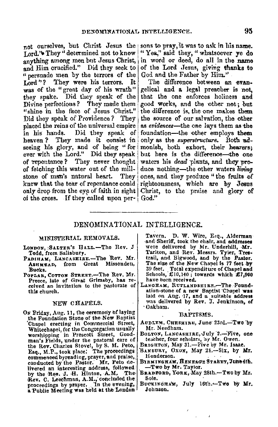Lord.'s They " determined not to know anything among men but Jesus Christ, and Him crucified." Did they seek to " persuade men by the terrors of the Lord"? They were his terrors. It was of the "great day of his wrath" they spake. Did they speak of the Divine perfections? They made them "shine in the face of Jesus Christ." Did they speak of Providence? They placed the reins of the universal empire Did they speak of in his hands. heaven? They made it consist in seeing his glory, and of being "for ever with the Lord." Did they speak of repentance? They never thought of fetching this water out of the millstone of man's natural heart. They knew that the tear of repentance could only drop from the eye of faith in sight of the cross. If they called upon per- God."

not ourselves, but Christ Jesus the sons to pray, it was to ask in his name. "Yea," said they, "whatsoever ye do in word or deed, do all in the name of the Lord Jesus, giving thanks to God and the Father by Him."

> The difference between an evangelical and a legal preacher is not, that the one enforces holiness and good works, and the other not; but the difference is, the one makes them the source of our salvation, the other as evidences-the one lays them as the foundation-the other employs them only as the superstructure. Both admonish, both exhort, their hearers; but here is the difference-the one waters his *dead* plants, and they produce nothing—the other waters living ones, and they produce "the fruits of righteousness, which are by Jesus Christ, to the praise and glory of

## DENOMINATIONAL INTELLIGENCE.

## MINISTERIAL REMOVALS.

- LONDON, SALTER'S HALL.-The Rev. J Todd, from Salisbury.
- PADIHAM, LANCASHIRE.-The Rev. Mr. Missenden, ASHMEAD, from Great Bucks.
- POPLAR, COTTON STREET.-The Rev. Mr. Preece, late of Great Grimsby, has received an invitation to the pastorate of this church.

#### NEW CHAPELS.

On Friday, Aug. 11, the ceremony of laying the Foundation Stone of the New Baptist Chapel erecting in Commercial Street, Whitechapel, for the Congregation usually<br>worshipping in Prescott Street, Goodman's Fields, under the pastoral care of the Rev. Charles Stovel, by S. M. Peto, commenced by teading, prayer, and praise, conducted by the Pastor. Mr. Peto deby the Rev. J. H. Hinton, A.M. The Rev. C. Leechman, A.M., concluded the proceedings by prayer. In the evening, a Public Meeting was held at the London

Tavern, D. W. Wire, Esq., Alderman and Sheriff, took the chair, and addresses were delivered by Mr. Underhill, Mr. Tarlton, and Rev. Messrs. Tyler, Trestrail, and Bigwood, and by the Pastor. The size of the New Chapel is 77 feet by 39 feet. Total expenditure of Chapel and<br>Schools, £10,140; towards which £7,900 have been received.

LANGHAM, RUTLANDSHIRE. The Foundation-stone of a new Bantist Chauel was laid on Aug. 17, and a suitable address was delivered by Rev. J. Jenkinson, of · Oakham.

#### BAPTISMS.

- AUDLEM, CHESHIRE, June 23rd.-Two by Mr. Needham.
- BOLTON, LANCASHIRE, July 2.-Five, one teacher, four scholars, by Mr. Owen.
- BRIGHTON, May 31.-Five by Mr. Isaac.
- BANBURY, OXON, May 21.-Six, by Mr. Henderson.
- BIRMINGHAM, HENEAGE STREET, June 4th. -Two by Mr. Taylor.
- BRADFORD, YORK, May 28th. Two by Mr. Sole.
- BUCKINGHAM, July 16th.-Two by Mr. Johnson.